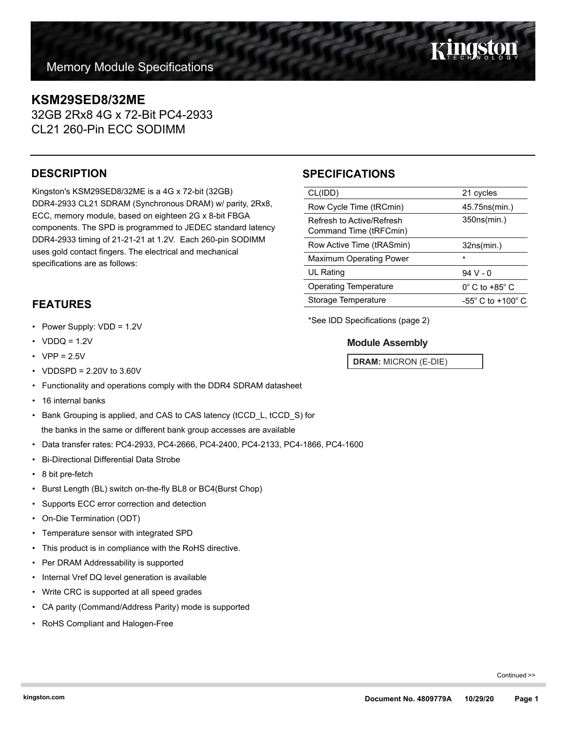## **KSM29SED8/32ME**

32GB 2Rx8 4G x 72-Bit PC4-2933 CL21 260-Pin ECC SODIMM

## **DESCRIPTION**

Kingston's KSM29SED8/32ME is a 4G x 72-bit (32GB) DDR4-2933 CL21 SDRAM (Synchronous DRAM) w/ parity, 2Rx8, ECC, memory module, based on eighteen 2G x 8-bit FBGA components. The SPD is programmed to JEDEC standard latency DDR4-2933 timing of 21-21-21 at 1.2V. Each 260-pin SODIMM uses gold contact fingers. The electrical and mechanical specifications are as follows:

## **FEATURES**

- Power Supply: VDD = 1.2V
- $VDDQ = 1.2V$
- $VPP = 2.5V$
- VDDSPD = 2.20V to 3.60V
- Functionality and operations comply with the DDR4 SDRAM datasheet
- 16 internal banks
- Bank Grouping is applied, and CAS to CAS latency (tCCD\_L, tCCD\_S) for the banks in the same or different bank group accesses are available
- Data transfer rates: PC4-2933, PC4-2666, PC4-2400, PC4-2133, PC4-1866, PC4-1600
- Bi-Directional Differential Data Strobe
- 8 bit pre-fetch
- Burst Length (BL) switch on-the-fly BL8 or BC4(Burst Chop)
- Supports ECC error correction and detection
- On-Die Termination (ODT)
- Temperature sensor with integrated SPD
- This product is in compliance with the RoHS directive.
- Per DRAM Addressability is supported
- Internal Vref DQ level generation is available
- Write CRC is supported at all speed grades
- CA parity (Command/Address Parity) mode is supported
- RoHS Compliant and Halogen-Free

## **SPECIFICATIONS**

| CL(IDD)                                             | 21 cycles                             |  |
|-----------------------------------------------------|---------------------------------------|--|
| Row Cycle Time (tRCmin)                             | 45.75ns(min.)                         |  |
| Refresh to Active/Refresh<br>Command Time (tRFCmin) | 350ns(min.)                           |  |
| Row Active Time (tRASmin)                           | 32ns(min.)                            |  |
| <b>Maximum Operating Power</b>                      | $\star$                               |  |
| UL Rating                                           | $94V - 0$                             |  |
| <b>Operating Temperature</b>                        | $0^\circ$ C to +85 $^\circ$ C         |  |
| Storage Temperature                                 | -55 $^{\circ}$ C to +100 $^{\circ}$ C |  |

\*See IDD Specifications (page 2)

### **Module Assembly**

**DRAM:** MICRON (E-DIE)

Continued >>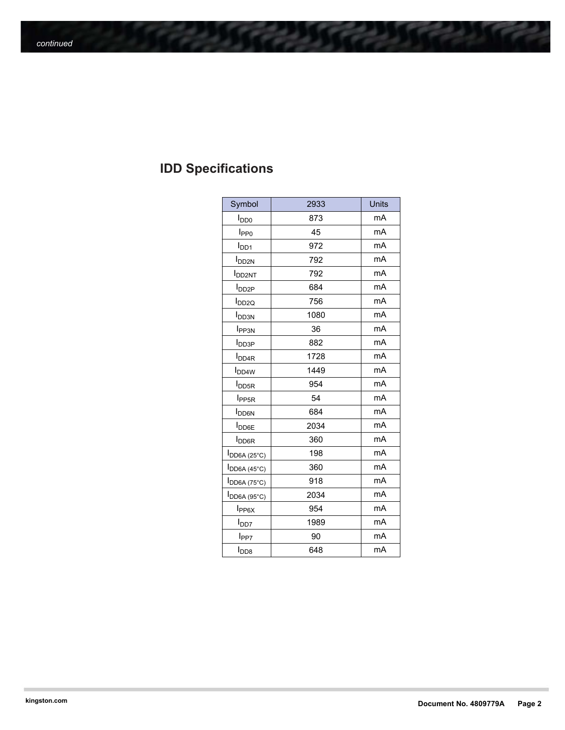# **IDD Specifications**

| Symbol                   | 2933 | <b>Units</b> |
|--------------------------|------|--------------|
| l <sub>DD0</sub>         | 873  | mA           |
| I <sub>PP0</sub>         | 45   | mA           |
| $I_{DD1}$                | 972  | mA           |
| <b>I</b> <sub>DD2N</sub> | 792  | mA           |
| <b>I</b> DD2NT           | 792  | mA           |
| <b>I</b> <sub>DD2P</sub> | 684  | mA           |
| I <sub>DD2Q</sub>        | 756  | mA           |
| <b>I</b> <sub>DD3N</sub> | 1080 | mA           |
| I <sub>PP3N</sub>        | 36   | mA           |
| I <sub>DD3P</sub>        | 882  | mA           |
| <b>I</b> <sub>DD4R</sub> | 1728 | mA           |
| <b>I</b> <sub>DD4W</sub> | 1449 | mA           |
| <b>I</b> DD5R            | 954  | mA           |
| I <sub>PP5R</sub>        | 54   | mA           |
| <b>I</b> DD6N            | 684  | mA           |
| <b>I</b> DD6E            | 2034 | mA           |
| <b>I</b> <sub>DD6R</sub> | 360  | mA           |
| $I_{DD6A(25°C)}$         | 198  | mA           |
| <b>I</b> DD6A (45°C)     | 360  | mA           |
| I <sub>DD6A</sub> (75°C) | 918  | mA           |
| $I_{DD6A(95°C)}$         | 2034 | mA           |
| $I_{PP6X}$               | 954  | mA           |
| <b>I</b> <sub>DD7</sub>  | 1989 | mA           |
| l <sub>PP7</sub>         | 90   | mA           |
| I <sub>DD8</sub>         | 648  | mA           |